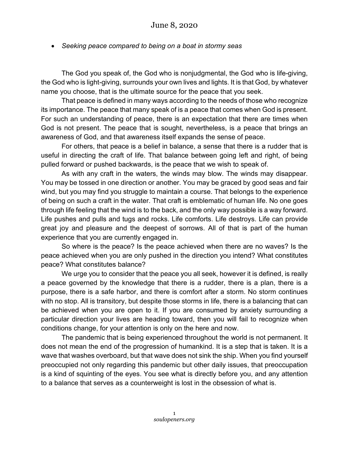• *Seeking peace compared to being on a boat in stormy seas*

The God you speak of, the God who is nonjudgmental, the God who is life-giving, the God who is light-giving, surrounds your own lives and lights. It is that God, by whatever name you choose, that is the ultimate source for the peace that you seek.

That peace is defined in many ways according to the needs of those who recognize its importance. The peace that many speak of is a peace that comes when God is present. For such an understanding of peace, there is an expectation that there are times when God is not present. The peace that is sought, nevertheless, is a peace that brings an awareness of God, and that awareness itself expands the sense of peace.

For others, that peace is a belief in balance, a sense that there is a rudder that is useful in directing the craft of life. That balance between going left and right, of being pulled forward or pushed backwards, is the peace that we wish to speak of.

As with any craft in the waters, the winds may blow. The winds may disappear. You may be tossed in one direction or another. You may be graced by good seas and fair wind, but you may find you struggle to maintain a course. That belongs to the experience of being on such a craft in the water. That craft is emblematic of human life. No one goes through life feeling that the wind is to the back, and the only way possible is a way forward. Life pushes and pulls and tugs and rocks. Life comforts. Life destroys. Life can provide great joy and pleasure and the deepest of sorrows. All of that is part of the human experience that you are currently engaged in.

So where is the peace? Is the peace achieved when there are no waves? Is the peace achieved when you are only pushed in the direction you intend? What constitutes peace? What constitutes balance?

We urge you to consider that the peace you all seek, however it is defined, is really a peace governed by the knowledge that there is a rudder, there is a plan, there is a purpose, there is a safe harbor, and there is comfort after a storm. No storm continues with no stop. All is transitory, but despite those storms in life, there is a balancing that can be achieved when you are open to it. If you are consumed by anxiety surrounding a particular direction your lives are heading toward, then you will fail to recognize when conditions change, for your attention is only on the here and now.

The pandemic that is being experienced throughout the world is not permanent. It does not mean the end of the progression of humankind. It is a step that is taken. It is a wave that washes overboard, but that wave does not sink the ship. When you find yourself preoccupied not only regarding this pandemic but other daily issues, that preoccupation is a kind of squinting of the eyes. You see what is directly before you, and any attention to a balance that serves as a counterweight is lost in the obsession of what is.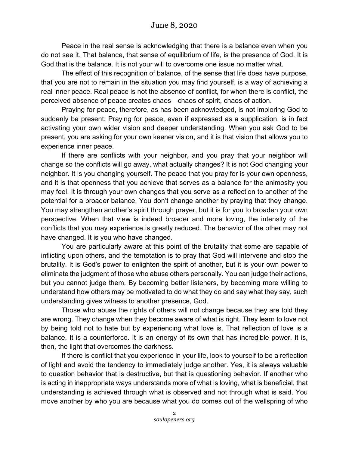Peace in the real sense is acknowledging that there is a balance even when you do not see it. That balance, that sense of equilibrium of life, is the presence of God. It is God that is the balance. It is not your will to overcome one issue no matter what.

The effect of this recognition of balance, of the sense that life does have purpose, that you are not to remain in the situation you may find yourself, is a way of achieving a real inner peace. Real peace is not the absence of conflict, for when there is conflict, the perceived absence of peace creates chaos—chaos of spirit, chaos of action.

Praying for peace, therefore, as has been acknowledged, is not imploring God to suddenly be present. Praying for peace, even if expressed as a supplication, is in fact activating your own wider vision and deeper understanding. When you ask God to be present, you are asking for your own keener vision, and it is that vision that allows you to experience inner peace.

If there are conflicts with your neighbor, and you pray that your neighbor will change so the conflicts will go away, what actually changes? It is not God changing your neighbor. It is you changing yourself. The peace that you pray for is your own openness, and it is that openness that you achieve that serves as a balance for the animosity you may feel. It is through your own changes that you serve as a reflection to another of the potential for a broader balance. You don't change another by praying that they change. You may strengthen another's spirit through prayer, but it is for you to broaden your own perspective. When that view is indeed broader and more loving, the intensity of the conflicts that you may experience is greatly reduced. The behavior of the other may not have changed. It is you who have changed.

You are particularly aware at this point of the brutality that some are capable of inflicting upon others, and the temptation is to pray that God will intervene and stop the brutality. It is God's power to enlighten the spirit of another, but it is your own power to eliminate the judgment of those who abuse others personally. You can judge their actions, but you cannot judge them. By becoming better listeners, by becoming more willing to understand how others may be motivated to do what they do and say what they say, such understanding gives witness to another presence, God.

Those who abuse the rights of others will not change because they are told they are wrong. They change when they become aware of what is right. They learn to love not by being told not to hate but by experiencing what love is. That reflection of love is a balance. It is a counterforce. It is an energy of its own that has incredible power. It is, then, the light that overcomes the darkness.

If there is conflict that you experience in your life, look to yourself to be a reflection of light and avoid the tendency to immediately judge another. Yes, it is always valuable to question behavior that is destructive, but that is questioning behavior. If another who is acting in inappropriate ways understands more of what is loving, what is beneficial, that understanding is achieved through what is observed and not through what is said. You move another by who you are because what you do comes out of the wellspring of who